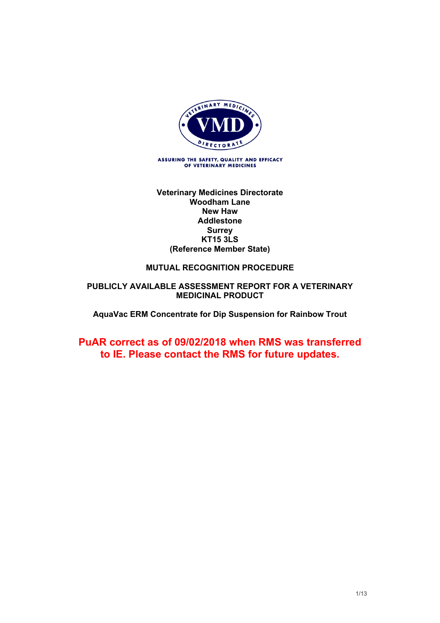

#### **Veterinary Medicines Directorate Woodham Lane New Haw Addlestone Surrey KT15 3LS (Reference Member State)**

### **MUTUAL RECOGNITION PROCEDURE**

#### **PUBLICLY AVAILABLE ASSESSMENT REPORT FOR A VETERINARY MEDICINAL PRODUCT**

**AquaVac ERM Concentrate for Dip Suspension for Rainbow Trout**

# **PuAR correct as of 09/02/2018 when RMS was transferred to IE. Please contact the RMS for future updates.**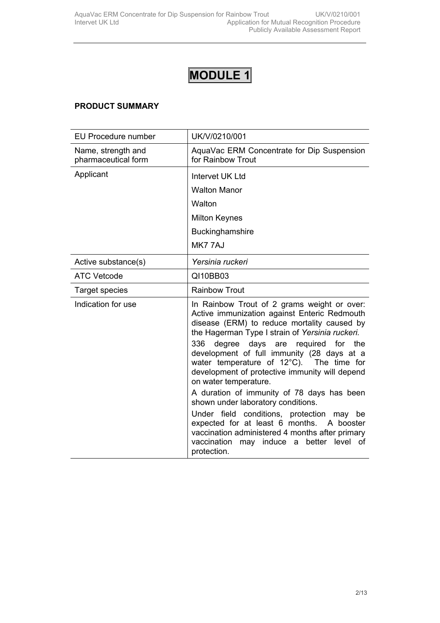# **PRODUCT SUMMARY**

| <b>EU Procedure number</b>                | UK/V/0210/001                                                                                                                                                                                                 |
|-------------------------------------------|---------------------------------------------------------------------------------------------------------------------------------------------------------------------------------------------------------------|
| Name, strength and<br>pharmaceutical form | AquaVac ERM Concentrate for Dip Suspension<br>for Rainbow Trout                                                                                                                                               |
| Applicant                                 | Intervet UK Ltd                                                                                                                                                                                               |
|                                           | <b>Walton Manor</b>                                                                                                                                                                                           |
|                                           | Walton                                                                                                                                                                                                        |
|                                           | <b>Milton Keynes</b>                                                                                                                                                                                          |
|                                           | Buckinghamshire                                                                                                                                                                                               |
|                                           | MK777AJ                                                                                                                                                                                                       |
| Active substance(s)                       | Yersinia ruckeri                                                                                                                                                                                              |
| <b>ATC Vetcode</b>                        | QI10BB03                                                                                                                                                                                                      |
| Target species                            | <b>Rainbow Trout</b>                                                                                                                                                                                          |
| Indication for use                        | In Rainbow Trout of 2 grams weight or over:<br>Active immunization against Enteric Redmouth<br>disease (ERM) to reduce mortality caused by<br>the Hagerman Type I strain of Yersinia ruckeri.                 |
|                                           | 336<br>degree days are required for the<br>development of full immunity (28 days at a<br>water temperature of 12°C). The time for<br>development of protective immunity will depend<br>on water temperature.  |
|                                           | A duration of immunity of 78 days has been<br>shown under laboratory conditions.                                                                                                                              |
|                                           | Under field conditions, protection may be<br>expected for at least 6 months. A booster<br>vaccination administered 4 months after primary<br>vaccination<br>induce a<br>better level of<br>may<br>protection. |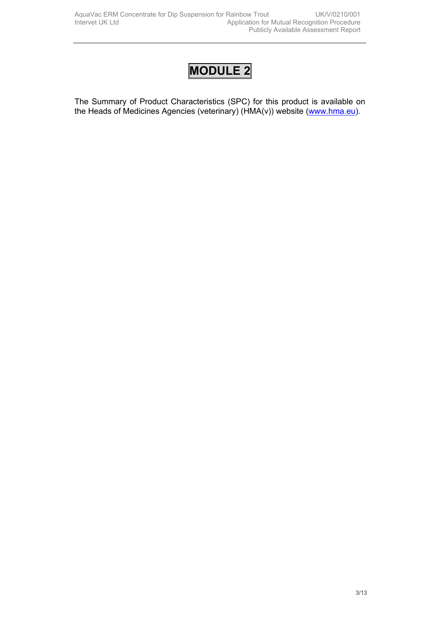The Summary of Product Characteristics (SPC) for this product is available on the Heads of Medicines Agencies (veterinary) (HMA(v)) website ([www.hma.eu](http://www.hma.eu/)).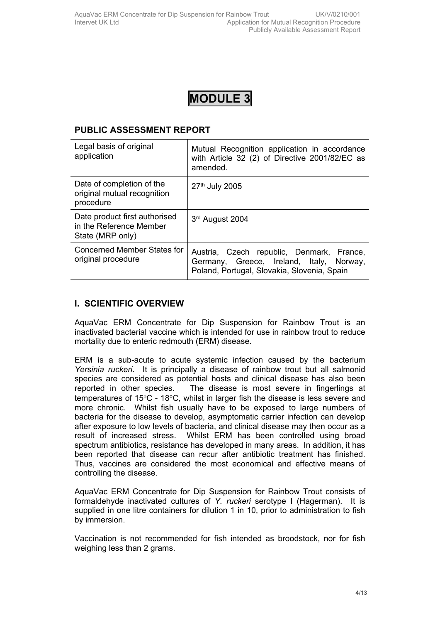# **PUBLIC ASSESSMENT REPORT**

| Legal basis of original<br>application                                       | Mutual Recognition application in accordance<br>with Article 32 (2) of Directive 2001/82/EC as<br>amended.                           |
|------------------------------------------------------------------------------|--------------------------------------------------------------------------------------------------------------------------------------|
| Date of completion of the<br>original mutual recognition<br>procedure        | 27th July 2005                                                                                                                       |
| Date product first authorised<br>in the Reference Member<br>State (MRP only) | 3rd August 2004                                                                                                                      |
| Concerned Member States for<br>original procedure                            | Austria, Czech republic, Denmark, France,<br>Germany, Greece, Ireland, Italy, Norway,<br>Poland, Portugal, Slovakia, Slovenia, Spain |

# **I. SCIENTIFIC OVERVIEW**

AquaVac ERM Concentrate for Dip Suspension for Rainbow Trout is an inactivated bacterial vaccine which is intended for use in rainbow trout to reduce mortality due to enteric redmouth (ERM) disease.

ERM is a sub-acute to acute systemic infection caused by the bacterium *Yersinia ruckeri*. It is principally a disease of rainbow trout but all salmonid species are considered as potential hosts and clinical disease has also been reported in other species. The disease is most severe in fingerlings at temperatures of  $15^{\circ}$ C -  $18^{\circ}$ C, whilst in larger fish the disease is less severe and more chronic. Whilst fish usually have to be exposed to large numbers of bacteria for the disease to develop, asymptomatic carrier infection can develop after exposure to low levels of bacteria, and clinical disease may then occur as a result of increased stress. Whilst ERM has been controlled using broad spectrum antibiotics, resistance has developed in many areas. In addition, it has been reported that disease can recur after antibiotic treatment has finished. Thus, vaccines are considered the most economical and effective means of controlling the disease.

AquaVac ERM Concentrate for Dip Suspension for Rainbow Trout consists of formaldehyde inactivated cultures of *Y. ruckeri* serotype I (Hagerman). It is supplied in one litre containers for dilution 1 in 10, prior to administration to fish by immersion.

Vaccination is not recommended for fish intended as broodstock, nor for fish weighing less than 2 grams.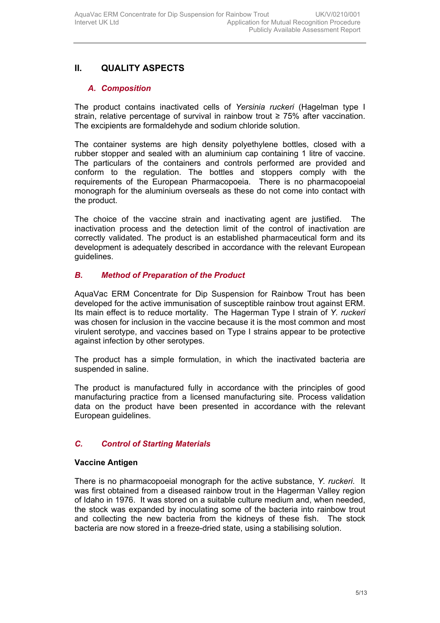# **II. QUALITY ASPECTS**

# *A. Composition*

The product contains inactivated cells of *Yersinia ruckeri* (Hagelman type I strain, relative percentage of survival in rainbow trout  $\geq 75\%$  after vaccination. The excipients are formaldehyde and sodium chloride solution.

The container systems are high density polyethylene bottles, closed with a rubber stopper and sealed with an aluminium cap containing 1 litre of vaccine. The particulars of the containers and controls performed are provided and conform to the regulation. The bottles and stoppers comply with the requirements of the European Pharmacopoeia. There is no pharmacopoeial monograph for the aluminium overseals as these do not come into contact with the product.

The choice of the vaccine strain and inactivating agent are justified. The inactivation process and the detection limit of the control of inactivation are correctly validated. The product is an established pharmaceutical form and its development is adequately described in accordance with the relevant European guidelines.

# *B. Method of Preparation of the Product*

AquaVac ERM Concentrate for Dip Suspension for Rainbow Trout has been developed for the active immunisation of susceptible rainbow trout against ERM. Its main effect is to reduce mortality. The Hagerman Type I strain of *Y. ruckeri* was chosen for inclusion in the vaccine because it is the most common and most virulent serotype, and vaccines based on Type I strains appear to be protective against infection by other serotypes.

The product has a simple formulation, in which the inactivated bacteria are suspended in saline.

The product is manufactured fully in accordance with the principles of good manufacturing practice from a licensed manufacturing site*.* Process validation data on the product have been presented in accordance with the relevant European guidelines.

# *C. Control of Starting Materials*

#### **Vaccine Antigen**

There is no pharmacopoeial monograph for the active substance, *Y. ruckeri*. It was first obtained from a diseased rainbow trout in the Hagerman Valley region of Idaho in 1976. It was stored on a suitable culture medium and, when needed, the stock was expanded by inoculating some of the bacteria into rainbow trout and collecting the new bacteria from the kidneys of these fish. The stock bacteria are now stored in a freeze-dried state, using a stabilising solution.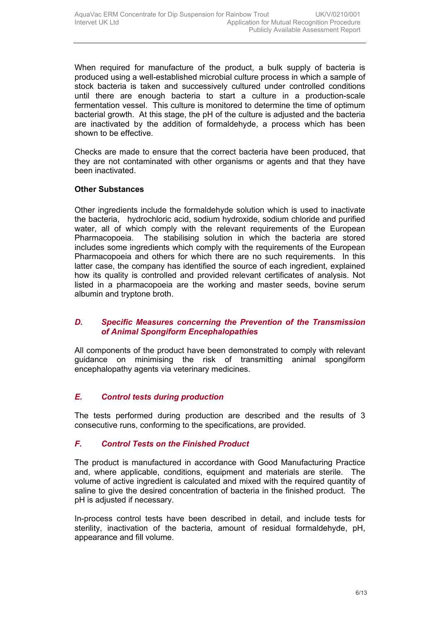When required for manufacture of the product, a bulk supply of bacteria is produced using a well-established microbial culture process in which a sample of stock bacteria is taken and successively cultured under controlled conditions until there are enough bacteria to start a culture in a production-scale fermentation vessel. This culture is monitored to determine the time of optimum bacterial growth. At this stage, the pH of the culture is adjusted and the bacteria are inactivated by the addition of formaldehyde, a process which has been shown to be effective.

Checks are made to ensure that the correct bacteria have been produced, that they are not contaminated with other organisms or agents and that they have been inactivated.

#### **Other Substances**

Other ingredients include the formaldehyde solution which is used to inactivate the bacteria, hydrochloric acid, sodium hydroxide, sodium chloride and purified water, all of which comply with the relevant requirements of the European Pharmacopoeia. The stabilising solution in which the bacteria are stored includes some ingredients which comply with the requirements of the European Pharmacopoeia and others for which there are no such requirements. In this latter case, the company has identified the source of each ingredient, explained how its quality is controlled and provided relevant certificates of analysis. Not listed in a pharmacopoeia are the working and master seeds, bovine serum albumin and tryptone broth.

#### *D. Specific Measures concerning the Prevention of the Transmission of Animal Spongiform Encephalopathies*

All components of the product have been demonstrated to comply with relevant guidance on minimising the risk of transmitting animal spongiform encephalopathy agents via veterinary medicines.

# *E. Control tests during production*

The tests performed during production are described and the results of 3 consecutive runs, conforming to the specifications, are provided.

# *F. Control Tests on the Finished Product*

The product is manufactured in accordance with Good Manufacturing Practice and, where applicable, conditions, equipment and materials are sterile. The volume of active ingredient is calculated and mixed with the required quantity of saline to give the desired concentration of bacteria in the finished product. The pH is adjusted if necessary.

In-process control tests have been described in detail, and include tests for sterility, inactivation of the bacteria, amount of residual formaldehyde, pH, appearance and fill volume.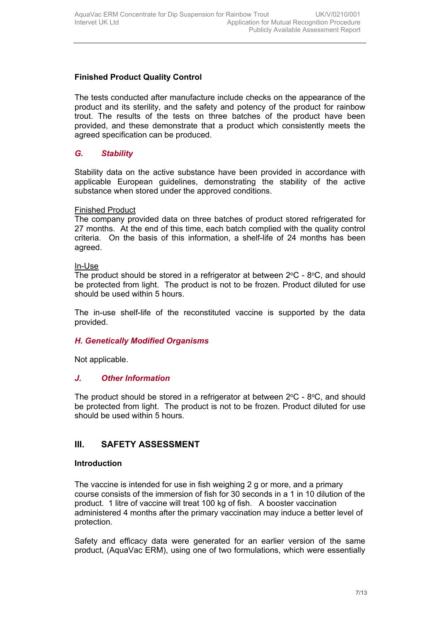# **Finished Product Quality Control**

The tests conducted after manufacture include checks on the appearance of the product and its sterility, and the safety and potency of the product for rainbow trout. The results of the tests on three batches of the product have been provided, and these demonstrate that a product which consistently meets the agreed specification can be produced.

# *G. Stability*

Stability data on the active substance have been provided in accordance with applicable European guidelines, demonstrating the stability of the active substance when stored under the approved conditions.

#### Finished Product

The company provided data on three batches of product stored refrigerated for 27 months. At the end of this time, each batch complied with the quality control criteria. On the basis of this information, a shelf-life of 24 months has been agreed.

#### In-Use

The product should be stored in a refrigerator at between  $2^{\circ}C$  -  $8^{\circ}C$ , and should be protected from light. The product is not to be frozen. Product diluted for use should be used within 5 hours.

The in-use shelf-life of the reconstituted vaccine is supported by the data provided.

# *H. Genetically Modified Organisms*

Not applicable.

# *J. Other Information*

The product should be stored in a refrigerator at between  $2^{\circ}C$  -  $8^{\circ}C$ , and should be protected from light. The product is not to be frozen. Product diluted for use should be used within 5 hours.

# **III. SAFETY ASSESSMENT**

#### **Introduction**

The vaccine is intended for use in fish weighing 2 g or more, and a primary course consists of the immersion of fish for 30 seconds in a 1 in 10 dilution of the product. 1 litre of vaccine will treat 100 kg of fish. A booster vaccination administered 4 months after the primary vaccination may induce a better level of protection.

Safety and efficacy data were generated for an earlier version of the same product, (AquaVac ERM), using one of two formulations, which were essentially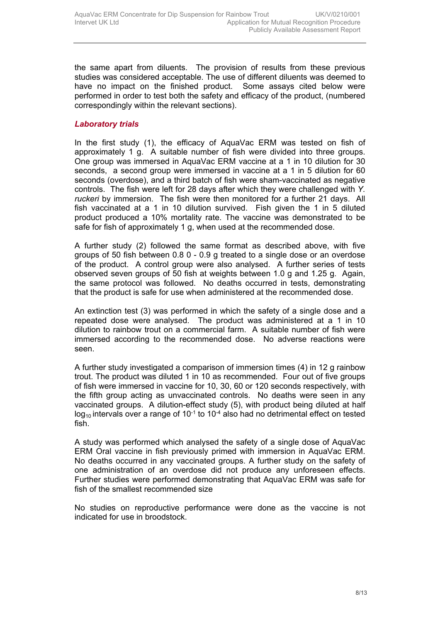the same apart from diluents. The provision of results from these previous studies was considered acceptable. The use of different diluents was deemed to have no impact on the finished product. Some assays cited below were performed in order to test both the safety and efficacy of the product, (numbered correspondingly within the relevant sections).

#### *Laboratory trials*

In the first study (1), the efficacy of AquaVac ERM was tested on fish of approximately 1 g. A suitable number of fish were divided into three groups. One group was immersed in AquaVac ERM vaccine at a 1 in 10 dilution for 30 seconds, a second group were immersed in vaccine at a 1 in 5 dilution for 60 seconds (overdose), and a third batch of fish were sham-vaccinated as negative controls. The fish were left for 28 days after which they were challenged with *Y. ruckeri* by immersion. The fish were then monitored for a further 21 days. All fish vaccinated at a 1 in 10 dilution survived. Fish given the 1 in 5 diluted product produced a 10% mortality rate. The vaccine was demonstrated to be safe for fish of approximately 1 g, when used at the recommended dose.

A further study (2) followed the same format as described above, with five groups of 50 fish between 0.8 0 - 0.9 g treated to a single dose or an overdose of the product. A control group were also analysed. A further series of tests observed seven groups of 50 fish at weights between 1.0 g and 1.25 g. Again, the same protocol was followed. No deaths occurred in tests, demonstrating that the product is safe for use when administered at the recommended dose.

An extinction test (3) was performed in which the safety of a single dose and a repeated dose were analysed. The product was administered at a 1 in 10 dilution to rainbow trout on a commercial farm. A suitable number of fish were immersed according to the recommended dose. No adverse reactions were seen.

A further study investigated a comparison of immersion times (4) in 12 g rainbow trout. The product was diluted 1 in 10 as recommended. Four out of five groups of fish were immersed in vaccine for 10, 30, 60 or 120 seconds respectively, with the fifth group acting as unvaccinated controls. No deaths were seen in any vaccinated groups. A dilution-effect study (5), with product being diluted at half  $log_{10}$  intervals over a range of 10<sup>-1</sup> to 10<sup>-4</sup> also had no detrimental effect on tested fish.

A study was performed which analysed the safety of a single dose of AquaVac ERM Oral vaccine in fish previously primed with immersion in AquaVac ERM. No deaths occurred in any vaccinated groups. A further study on the safety of one administration of an overdose did not produce any unforeseen effects. Further studies were performed demonstrating that AquaVac ERM was safe for fish of the smallest recommended size

No studies on reproductive performance were done as the vaccine is not indicated for use in broodstock.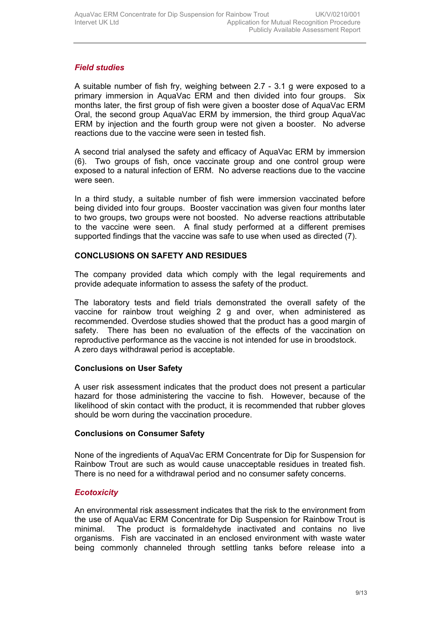# *Field studies*

A suitable number of fish fry, weighing between 2.7 - 3.1 g were exposed to a primary immersion in AquaVac ERM and then divided into four groups. Six months later, the first group of fish were given a booster dose of AquaVac ERM Oral, the second group AquaVac ERM by immersion, the third group AquaVac ERM by injection and the fourth group were not given a booster. No adverse reactions due to the vaccine were seen in tested fish.

A second trial analysed the safety and efficacy of AquaVac ERM by immersion (6). Two groups of fish, once vaccinate group and one control group were exposed to a natural infection of ERM. No adverse reactions due to the vaccine were seen.

In a third study, a suitable number of fish were immersion vaccinated before being divided into four groups. Booster vaccination was given four months later to two groups, two groups were not boosted. No adverse reactions attributable to the vaccine were seen. A final study performed at a different premises supported findings that the vaccine was safe to use when used as directed (7).

# **CONCLUSIONS ON SAFETY AND RESIDUES**

The company provided data which comply with the legal requirements and provide adequate information to assess the safety of the product.

The laboratory tests and field trials demonstrated the overall safety of the vaccine for rainbow trout weighing 2 g and over, when administered as recommended. Overdose studies showed that the product has a good margin of safety. There has been no evaluation of the effects of the vaccination on reproductive performance as the vaccine is not intended for use in broodstock. A zero days withdrawal period is acceptable.

# **Conclusions on User Safety**

A user risk assessment indicates that the product does not present a particular hazard for those administering the vaccine to fish. However, because of the likelihood of skin contact with the product, it is recommended that rubber gloves should be worn during the vaccination procedure.

# **Conclusions on Consumer Safety**

None of the ingredients of AquaVac ERM Concentrate for Dip for Suspension for Rainbow Trout are such as would cause unacceptable residues in treated fish. There is no need for a withdrawal period and no consumer safety concerns.

# *Ecotoxicity*

An environmental risk assessment indicates that the risk to the environment from the use of AquaVac ERM Concentrate for Dip Suspension for Rainbow Trout is minimal. The product is formaldehyde inactivated and contains no live organisms. Fish are vaccinated in an enclosed environment with waste water being commonly channeled through settling tanks before release into a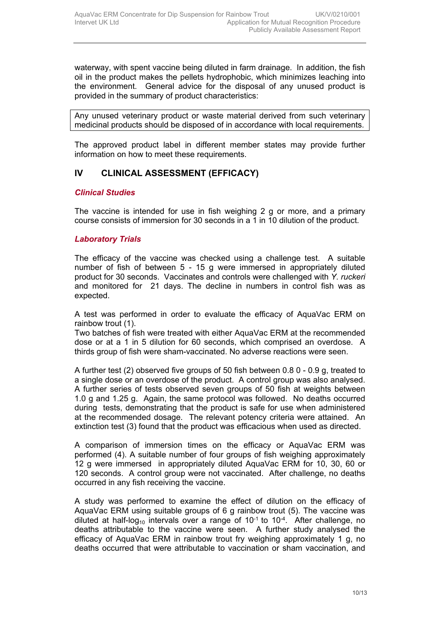waterway, with spent vaccine being diluted in farm drainage. In addition, the fish oil in the product makes the pellets hydrophobic, which minimizes leaching into the environment. General advice for the disposal of any unused product is provided in the summary of product characteristics:

Any unused veterinary product or waste material derived from such veterinary medicinal products should be disposed of in accordance with local requirements.

The approved product label in different member states may provide further information on how to meet these requirements.

# **IV CLINICAL ASSESSMENT (EFFICACY)**

#### *Clinical Studies*

The vaccine is intended for use in fish weighing 2 g or more, and a primary course consists of immersion for 30 seconds in a 1 in 10 dilution of the product.

#### *Laboratory Trials*

The efficacy of the vaccine was checked using a challenge test. A suitable number of fish of between 5 - 15 g were immersed in appropriately diluted product for 30 seconds. Vaccinates and controls were challenged with *Y. ruckeri* and monitored for 21 days. The decline in numbers in control fish was as expected.

A test was performed in order to evaluate the efficacy of AquaVac ERM on rainbow trout (1).

Two batches of fish were treated with either AquaVac ERM at the recommended dose or at a 1 in 5 dilution for 60 seconds, which comprised an overdose. A thirds group of fish were sham-vaccinated. No adverse reactions were seen.

A further test (2) observed five groups of 50 fish between 0.8 0 - 0.9 g, treated to a single dose or an overdose of the product. A control group was also analysed. A further series of tests observed seven groups of 50 fish at weights between 1.0 g and 1.25 g. Again, the same protocol was followed. No deaths occurred during tests, demonstrating that the product is safe for use when administered at the recommended dosage. The relevant potency criteria were attained. An extinction test (3) found that the product was efficacious when used as directed.

A comparison of immersion times on the efficacy or AquaVac ERM was performed (4). A suitable number of four groups of fish weighing approximately 12 g were immersed in appropriately diluted AquaVac ERM for 10, 30, 60 or 120 seconds. A control group were not vaccinated. After challenge, no deaths occurred in any fish receiving the vaccine.

A study was performed to examine the effect of dilution on the efficacy of AquaVac ERM using suitable groups of 6 g rainbow trout (5). The vaccine was diluted at half-log<sub>10</sub> intervals over a range of  $10^{-1}$  to  $10^{-4}$ . After challenge, no deaths attributable to the vaccine were seen. A further study analysed the efficacy of AquaVac ERM in rainbow trout fry weighing approximately 1 g, no deaths occurred that were attributable to vaccination or sham vaccination, and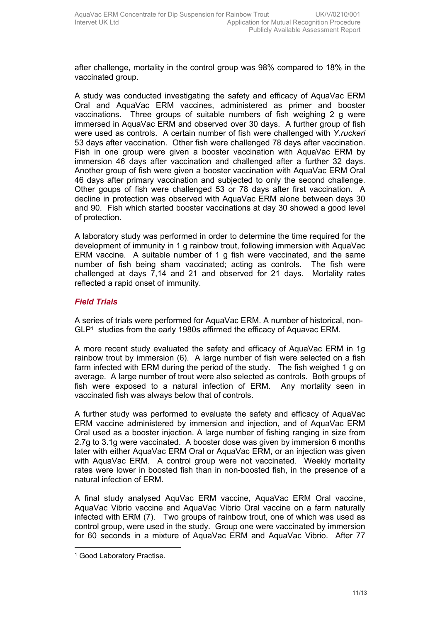after challenge, mortality in the control group was 98% compared to 18% in the vaccinated group.

A study was conducted investigating the safety and efficacy of AquaVac ERM Oral and AquaVac ERM vaccines, administered as primer and booster vaccinations. Three groups of suitable numbers of fish weighing 2 g were immersed in AquaVac ERM and observed over 30 days. A further group of fish were used as controls. A certain number of fish were challenged with *Y.ruckeri* 53 days after vaccination. Other fish were challenged 78 days after vaccination. Fish in one group were given a booster vaccination with AquaVac ERM by immersion 46 days after vaccination and challenged after a further 32 days. Another group of fish were given a booster vaccination with AquaVac ERM Oral 46 days after primary vaccination and subjected to only the second challenge. Other goups of fish were challenged 53 or 78 days after first vaccination. A decline in protection was observed with AquaVac ERM alone between days 30 and 90. Fish which started booster vaccinations at day 30 showed a good level of protection.

A laboratory study was performed in order to determine the time required for the development of immunity in 1 g rainbow trout, following immersion with AquaVac ERM vaccine. A suitable number of 1 g fish were vaccinated, and the same number of fish being sham vaccinated; acting as controls. The fish were challenged at days 7,14 and 21 and observed for 21 days. Mortality rates reflected a rapid onset of immunity.

#### *Field Trials*

A series of trials were performed for AquaVac ERM. A number of historical, non-GLP<sup>1</sup> studies from the early 1980s affirmed the efficacy of Aquavac ERM.

A more recent study evaluated the safety and efficacy of AquaVac ERM in 1g rainbow trout by immersion (6). A large number of fish were selected on a fish farm infected with ERM during the period of the study. The fish weighed 1 g on average. A large number of trout were also selected as controls. Both groups of fish were exposed to a natural infection of ERM. Any mortality seen in vaccinated fish was always below that of controls.

A further study was performed to evaluate the safety and efficacy of AquaVac ERM vaccine administered by immersion and injection, and of AquaVac ERM Oral used as a booster injection. A large number of fishing ranging in size from 2.7g to 3.1g were vaccinated. A booster dose was given by immersion 6 months later with either AquaVac ERM Oral or AquaVac ERM, or an injection was given with AquaVac ERM. A control group were not vaccinated. Weekly mortality rates were lower in boosted fish than in non-boosted fish, in the presence of a natural infection of ERM.

A final study analysed AquVac ERM vaccine, AquaVac ERM Oral vaccine, AquaVac Vibrio vaccine and AquaVac Vibrio Oral vaccine on a farm naturally infected with ERM (7). Two groups of rainbow trout, one of which was used as control group, were used in the study. Group one were vaccinated by immersion for 60 seconds in a mixture of AquaVac ERM and AquaVac Vibrio. After 77

<sup>&</sup>lt;sup>1</sup> Good Laboratory Practise.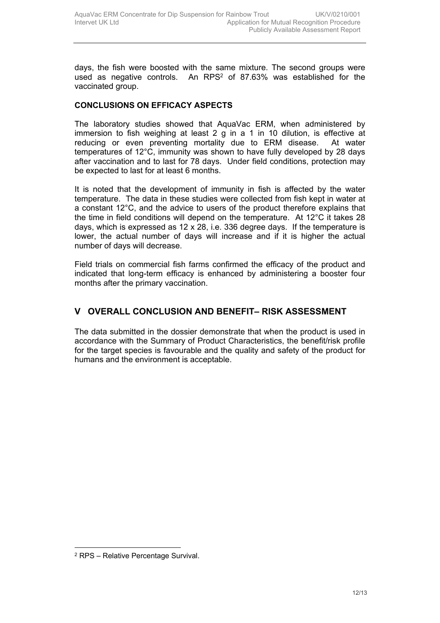days, the fish were boosted with the same mixture. The second groups were used as negative controls. An RPS $2$  of 87.63% was established for the vaccinated group.

# **CONCLUSIONS ON EFFICACY ASPECTS**

The laboratory studies showed that AquaVac ERM, when administered by immersion to fish weighing at least 2 g in a 1 in 10 dilution, is effective at reducing or even preventing mortality due to ERM disease. At water temperatures of 12°C, immunity was shown to have fully developed by 28 days after vaccination and to last for 78 days. Under field conditions, protection may be expected to last for at least 6 months.

It is noted that the development of immunity in fish is affected by the water temperature. The data in these studies were collected from fish kept in water at a constant 12°C, and the advice to users of the product therefore explains that the time in field conditions will depend on the temperature. At 12°C it takes 28 days, which is expressed as 12 x 28, i.e. 336 degree days. If the temperature is lower, the actual number of days will increase and if it is higher the actual number of days will decrease.

Field trials on commercial fish farms confirmed the efficacy of the product and indicated that long-term efficacy is enhanced by administering a booster four months after the primary vaccination.

# **V OVERALL CONCLUSION AND BENEFIT– RISK ASSESSMENT**

The data submitted in the dossier demonstrate that when the product is used in accordance with the Summary of Product Characteristics, the benefit/risk profile for the target species is favourable and the quality and safety of the product for humans and the environment is acceptable.

<sup>2</sup> RPS – Relative Percentage Survival.